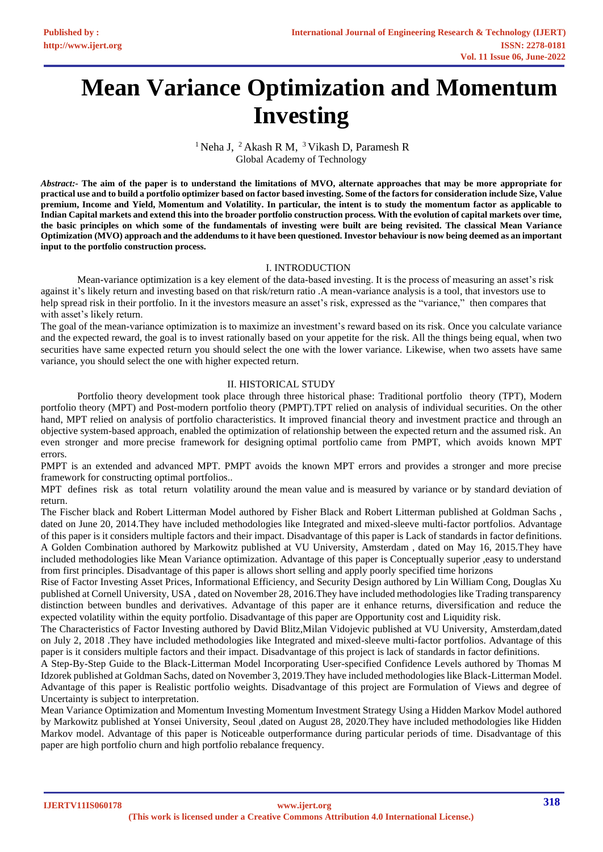# **Mean Variance Optimization and Momentum Investing**

<sup>1</sup> Neha J, <sup>2</sup> Akash R M, <sup>3</sup> Vikash D, Paramesh R Global Academy of Technology

*Abstract:-* **The aim of the paper is to understand the limitations of MVO, alternate approaches that may be more appropriate for practical use and to build a portfolio optimizer based on factor based investing. Some of the factors for consideration include Size, Value premium, Income and Yield, Momentum and Volatility. In particular, the intent is to study the momentum factor as applicable to Indian Capital markets and extend this into the broader portfolio construction process. With the evolution of capital markets over time, the basic principles on which some of the fundamentals of investing were built are being revisited. The classical Mean Variance Optimization (MVO) approach and the addendums to it have been questioned. Investor behaviour is now being deemed as an important input to the portfolio construction process.** 

## I. INTRODUCTION

Mean-variance optimization is a key element of the data-based investing. It is the process of measuring an asset's risk against it's likely return and investing based on that risk/return ratio .A mean-variance analysis is a tool, that investors use to help spread risk in their portfolio. In it the investors measure an asset's risk, expressed as the "variance," then compares that with asset's likely return.

The goal of the mean-variance optimization is to maximize an investment's reward based on its risk. Once you calculate variance and the expected reward, the goal is to invest rationally based on your appetite for the risk. All the things being equal, when two securities have same expected return you should select the one with the lower variance. Likewise, when two assets have same variance, you should select the one with higher expected return.

## II. HISTORICAL STUDY

Portfolio theory development took place through three historical phase: Traditional portfolio theory (TPT), Modern portfolio theory (MPT) and Post-modern portfolio theory (PMPT).TPT relied on analysis of individual securities. On the other hand, MPT relied on analysis of portfolio characteristics. It improved financial theory and investment practice and through an objective system-based approach, enabled the optimization of relationship between the expected return and the assumed risk. An even stronger and more precise framework for designing optimal portfolio came from PMPT, which avoids known MPT errors.

PMPT is an extended and advanced MPT. PMPT avoids the known MPT errors and provides a stronger and more precise framework for constructing optimal portfolios..

MPT defines risk as total return volatility around the mean value and is measured by variance or by standard deviation of return.

The Fischer black and Robert Litterman Model authored by Fisher Black and Robert Litterman published at Goldman Sachs , dated on June 20, 2014.They have included methodologies like Integrated and mixed-sleeve multi-factor portfolios. Advantage of this paper is it considers multiple factors and their impact. Disadvantage of this paper is Lack of standards in factor definitions. A Golden Combination authored by Markowitz published at VU University, Amsterdam , dated on May 16, 2015.They have included methodologies like Mean Variance optimization. Advantage of this paper is Conceptually superior ,easy to understand from first principles. Disadvantage of this paper is allows short selling and apply poorly specified time horizons

Rise of Factor Investing Asset Prices, Informational Efficiency, and Security Design authored by Lin William Cong, Douglas Xu published at Cornell University, USA , dated on November 28, 2016.They have included methodologies like Trading transparency distinction between bundles and derivatives. Advantage of this paper are it enhance returns, diversification and reduce the expected volatility within the equity portfolio. Disadvantage of this paper are Opportunity cost and Liquidity risk.

The Characteristics of Factor Investing authored by David Blitz,Milan Vidojevic published at VU University, Amsterdam,dated on July 2, 2018 .They have included methodologies like Integrated and mixed-sleeve multi-factor portfolios. Advantage of this paper is it considers multiple factors and their impact. Disadvantage of this project is lack of standards in factor definitions.

A Step-By-Step Guide to the Black-Litterman Model Incorporating User-specified Confidence Levels authored by Thomas M Idzorek published at Goldman Sachs, dated on November 3, 2019.They have included methodologies like Black-Litterman Model. Advantage of this paper is Realistic portfolio weights. Disadvantage of this project are Formulation of Views and degree of Uncertainty is subject to interpretation.

Mean Variance Optimization and Momentum Investing Momentum Investment Strategy Using a Hidden Markov Model authored by Markowitz published at Yonsei University, Seoul ,dated on August 28, 2020.They have included methodologies like Hidden Markov model. Advantage of this paper is Noticeable outperformance during particular periods of time. Disadvantage of this paper are high portfolio churn and high portfolio rebalance frequency.

**IJERTV11IS060178**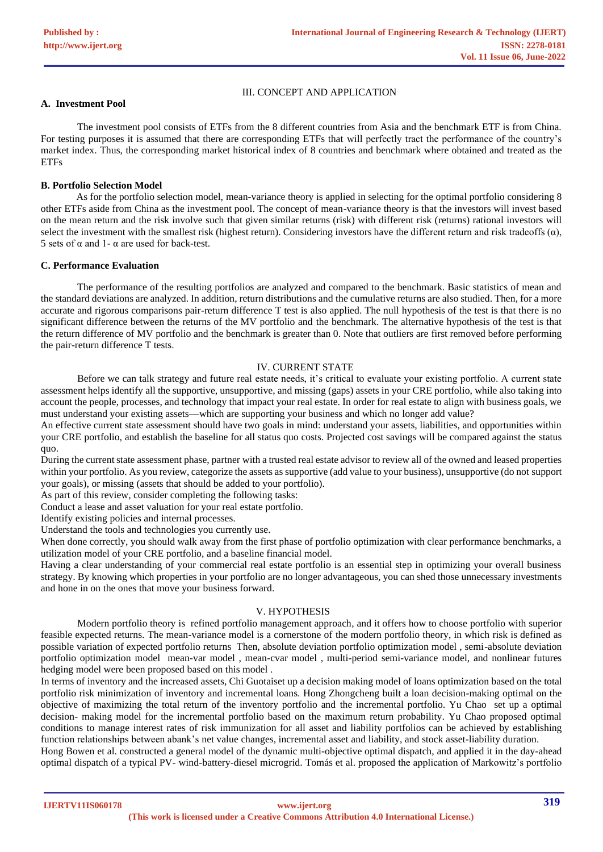## III. CONCEPT AND APPLICATION

# **A. Investment Pool**

The investment pool consists of ETFs from the 8 different countries from Asia and the benchmark ETF is from China. For testing purposes it is assumed that there are corresponding ETFs that will perfectly tract the performance of the country's market index. Thus, the corresponding market historical index of 8 countries and benchmark where obtained and treated as the **ETFs** 

## **B. Portfolio Selection Model**

 As for the portfolio selection model, mean-variance theory is applied in selecting for the optimal portfolio considering 8 other ETFs aside from China as the investment pool. The concept of mean-variance theory is that the investors will invest based on the mean return and the risk involve such that given similar returns (risk) with different risk (returns) rational investors will select the investment with the smallest risk (highest return). Considering investors have the different return and risk tradeoffs  $(\alpha)$ , 5 sets of  $\alpha$  and 1-  $\alpha$  are used for back-test.

#### **C. Performance Evaluation**

The performance of the resulting portfolios are analyzed and compared to the benchmark. Basic statistics of mean and the standard deviations are analyzed. In addition, return distributions and the cumulative returns are also studied. Then, for a more accurate and rigorous comparisons pair-return difference T test is also applied. The null hypothesis of the test is that there is no significant difference between the returns of the MV portfolio and the benchmark. The alternative hypothesis of the test is that the return difference of MV portfolio and the benchmark is greater than 0. Note that outliers are first removed before performing the pair-return difference T tests.

#### IV. CURRENT STATE

Before we can talk strategy and future real estate needs, it's critical to evaluate your existing portfolio. A current state assessment helps identify all the supportive, unsupportive, and missing (gaps) assets in your CRE portfolio, while also taking into account the people, processes, and technology that impact your real estate. In order for real estate to align with business goals, we must understand your existing assets—which are supporting your business and which no longer add value?

An effective current state assessment should have two goals in mind: understand your assets, liabilities, and opportunities within your CRE portfolio, and establish the baseline for all status quo costs. Projected cost savings will be compared against the status quo.

During the current state assessment phase, partner with a trusted real estate advisor to review all of the owned and leased properties within your portfolio. As you review, categorize the assets as supportive (add value to your business), unsupportive (do not support your goals), or missing (assets that should be added to your portfolio).

As part of this review, consider completing the following tasks:

Conduct a lease and asset valuation for your real estate portfolio.

Identify existing policies and internal processes.

Understand the tools and technologies you currently use.

When done correctly, you should walk away from the first phase of portfolio optimization with clear performance benchmarks, a utilization model of your CRE portfolio, and a baseline financial model.

Having a clear understanding of your commercial real estate portfolio is an essential step in optimizing your overall business strategy. By knowing which properties in your portfolio are no longer advantageous, you can shed those unnecessary investments and hone in on the ones that move your business forward.

## V. HYPOTHESIS

Modern portfolio theory is refined portfolio management approach, and it offers how to choose portfolio with superior feasible expected returns. The mean-variance model is a cornerstone of the modern portfolio theory, in which risk is defined as possible variation of expected portfolio returns Then, absolute deviation portfolio optimization model , semi-absolute deviation portfolio optimization model mean-var model , mean-cvar model , multi-period semi-variance model, and nonlinear futures hedging model were been proposed based on this model .

In terms of inventory and the increased assets, Chi Guotaiset up a decision making model of loans optimization based on the total portfolio risk minimization of inventory and incremental loans. Hong Zhongcheng built a loan decision-making optimal on the objective of maximizing the total return of the inventory portfolio and the incremental portfolio. Yu Chao set up a optimal decision- making model for the incremental portfolio based on the maximum return probability. Yu Chao proposed optimal conditions to manage interest rates of risk immunization for all asset and liability portfolios can be achieved by establishing function relationships between abank's net value changes, incremental asset and liability, and stock asset-liability duration.

Hong Bowen et al. constructed a general model of the dynamic multi-objective optimal dispatch, and applied it in the day-ahead optimal dispatch of a typical PV- wind-battery-diesel microgrid. Tomás et al. proposed the application of Markowitz's portfolio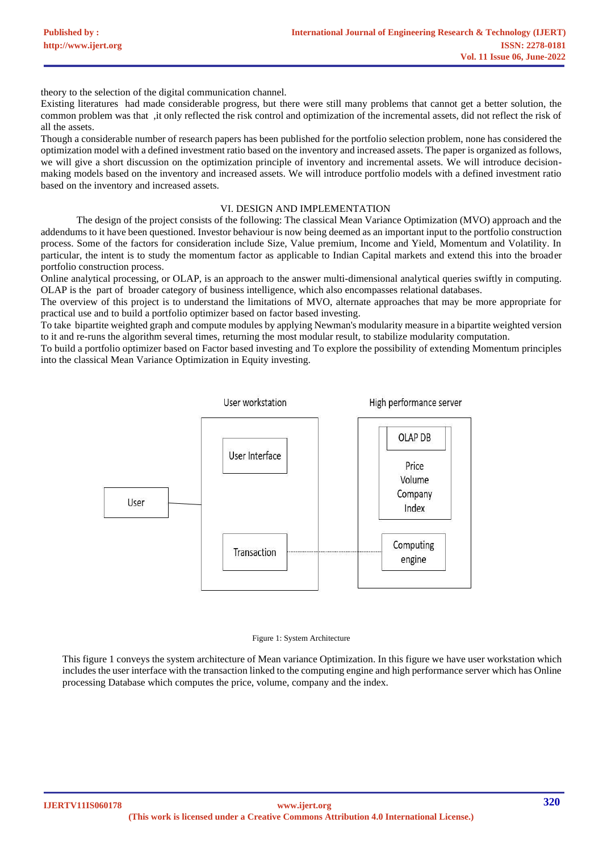theory to the selection of the digital communication channel.

Existing literatures had made considerable progress, but there were still many problems that cannot get a better solution, the common problem was that ,it only reflected the risk control and optimization of the incremental assets, did not reflect the risk of all the assets.

Though a considerable number of research papers has been published for the portfolio selection problem, none has considered the optimization model with a defined investment ratio based on the inventory and increased assets. The paper is organized as follows, we will give a short discussion on the optimization principle of inventory and incremental assets. We will introduce decisionmaking models based on the inventory and increased assets. We will introduce portfolio models with a defined investment ratio based on the inventory and increased assets.

## VI. DESIGN AND IMPLEMENTATION

The design of the project consists of the following: The classical Mean Variance Optimization (MVO) approach and the addendums to it have been questioned. Investor behaviour is now being deemed as an important input to the portfolio construction process. Some of the factors for consideration include Size, Value premium, Income and Yield, Momentum and Volatility. In particular, the intent is to study the momentum factor as applicable to Indian Capital markets and extend this into the broader portfolio construction process.

Online analytical processing, or OLAP, is an approach to the answer multi-dimensional analytical queries swiftly in computing. OLAP is the part of broader category of business intelligence, which also encompasses relational databases.

The overview of this project is to understand the limitations of MVO, alternate approaches that may be more appropriate for practical use and to build a portfolio optimizer based on factor based investing.

To take bipartite weighted graph and compute modules by applying Newman's modularity measure in a bipartite weighted version to it and re-runs the algorithm several times, returning the most modular result, to stabilize modularity computation.

To build a portfolio optimizer based on Factor based investing and To explore the possibility of extending Momentum principles into the classical Mean Variance Optimization in Equity investing.



#### Figure 1: System Architecture

This figure 1 conveys the system architecture of Mean variance Optimization. In this figure we have user workstation which includes the user interface with the transaction linked to the computing engine and high performance server which has Online processing Database which computes the price, volume, company and the index.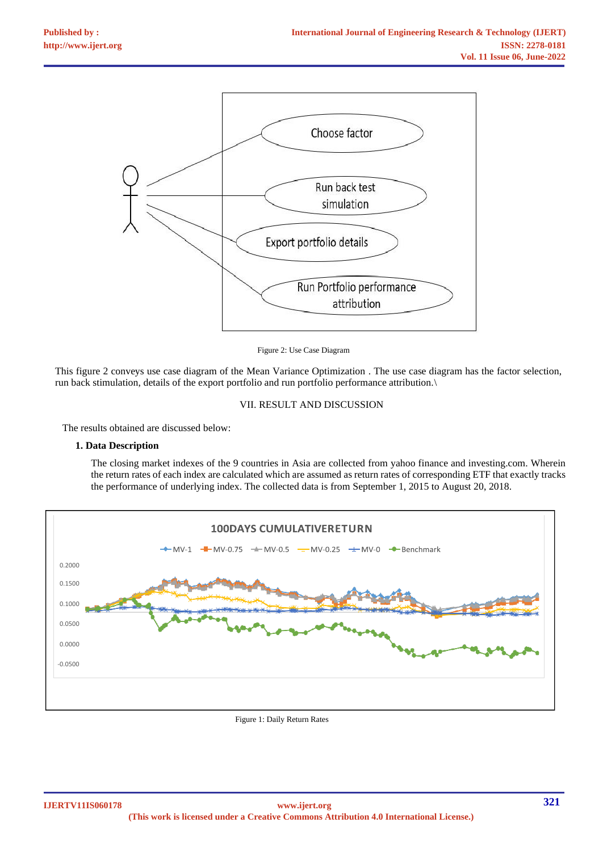

Figure 2: Use Case Diagram

This figure 2 conveys use case diagram of the Mean Variance Optimization . The use case diagram has the factor selection, run back stimulation, details of the export portfolio and run portfolio performance attribution.\

#### VII. RESULT AND DISCUSSION

The results obtained are discussed below:

## **1. Data Description**

The closing market indexes of the 9 countries in Asia are collected from yahoo finance and investing.com. Wherein the return rates of each index are calculated which are assumed as return rates of corresponding ETF that exactly tracks the performance of underlying index. The collected data is from September 1, 2015 to August 20, 2018.



Figure 1: Daily Return Rates